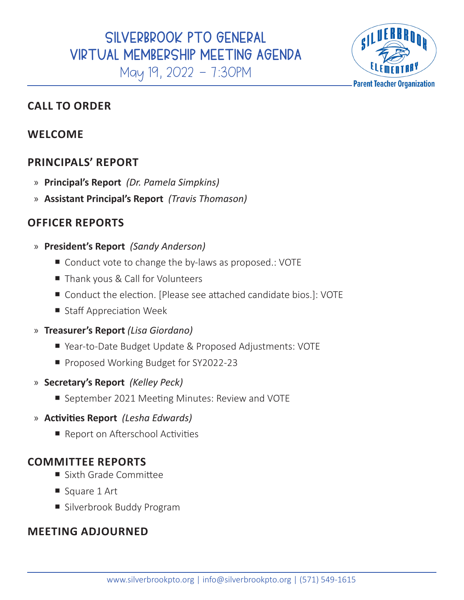

## **CALL TO ORDER**

## **WELCOME**

## **PRINCIPALS' REPORT**

- » **Principal's Report** *(Dr. Pamela Simpkins)*
- » **Assistant Principal's Report** *(Travis Thomason)*

## **OFFICER REPORTS**

- » **President's Report** *(Sandy Anderson)*
	- Conduct vote to change the by-laws as proposed.: VOTE
	- Thank yous & Call for Volunteers
	- Conduct the election. [Please see attached candidate bios.]: VOTE
	- Staff Appreciation Week

### » **Treasurer's Report** *(Lisa Giordano)*

- ¡ Year-to-Date Budget Update & Proposed Adjustments: VOTE
- Proposed Working Budget for SY2022-23
- » **Secretary's Report** *(Kelley Peck)*
	- September 2021 Meeting Minutes: Review and VOTE

### » **Activities Report** *(Lesha Edwards)*

■ Report on Afterschool Activities

### **COMMITTEE REPORTS**

- Sixth Grade Committee
- Square 1 Art
- **E** Silverbrook Buddy Program

### **MEETING ADJOURNED**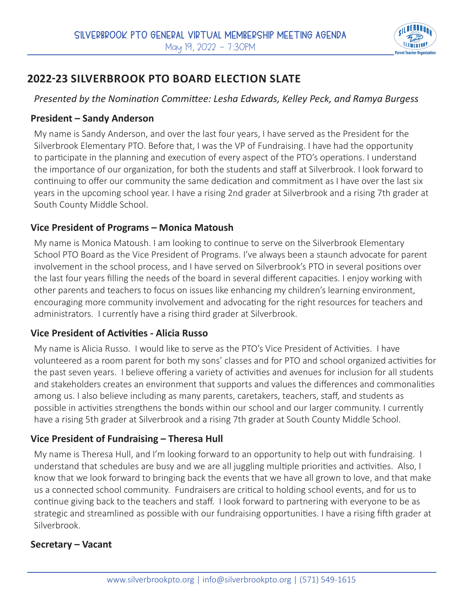

# **2022-23 SILVERBROOK PTO BOARD ELECTION SLATE**

*Presented by the Nomination Committee: Lesha Edwards, Kelley Peck, and Ramya Burgess*

### **President – Sandy Anderson**

My name is Sandy Anderson, and over the last four years, I have served as the President for the Silverbrook Elementary PTO. Before that, I was the VP of Fundraising. I have had the opportunity to participate in the planning and execution of every aspect of the PTO's operations. I understand the importance of our organization, for both the students and staff at Silverbrook. I look forward to continuing to offer our community the same dedication and commitment as I have over the last six years in the upcoming school year. I have a rising 2nd grader at Silverbrook and a rising 7th grader at South County Middle School.

### **Vice President of Programs – Monica Matoush**

My name is Monica Matoush. I am looking to continue to serve on the Silverbrook Elementary School PTO Board as the Vice President of Programs. I've always been a staunch advocate for parent involvement in the school process, and I have served on Silverbrook's PTO in several positions over the last four years filling the needs of the board in several different capacities. I enjoy working with other parents and teachers to focus on issues like enhancing my children's learning environment, encouraging more community involvement and advocating for the right resources for teachers and administrators. I currently have a rising third grader at Silverbrook.

### **Vice President of Activities - Alicia Russo**

My name is Alicia Russo. I would like to serve as the PTO's Vice President of Activities. I have volunteered as a room parent for both my sons' classes and for PTO and school organized activities for the past seven years. I believe offering a variety of activities and avenues for inclusion for all students and stakeholders creates an environment that supports and values the differences and commonalities among us. I also believe including as many parents, caretakers, teachers, staff, and students as possible in activities strengthens the bonds within our school and our larger community. I currently have a rising 5th grader at Silverbrook and a rising 7th grader at South County Middle School.

### **Vice President of Fundraising – Theresa Hull**

My name is Theresa Hull, and I'm looking forward to an opportunity to help out with fundraising. I understand that schedules are busy and we are all juggling multiple priorities and activities. Also, I know that we look forward to bringing back the events that we have all grown to love, and that make us a connected school community. Fundraisers are critical to holding school events, and for us to continue giving back to the teachers and staff. I look forward to partnering with everyone to be as strategic and streamlined as possible with our fundraising opportunities. I have a rising fifth grader at Silverbrook.

### **Secretary – Vacant**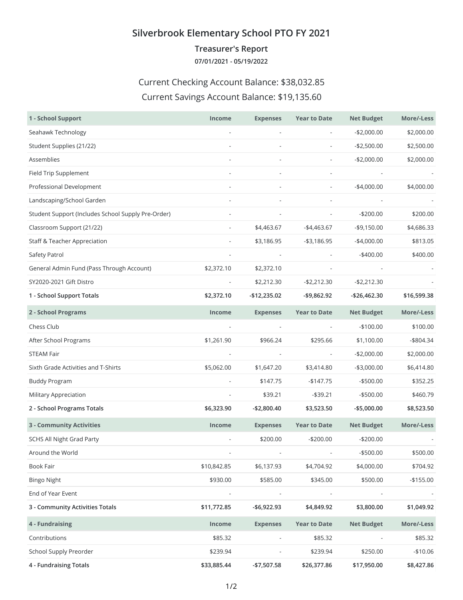### **Silverbrook Elementary School PTO FY 2021**

**Treasurer's Report**

**07/01/2021 - 05/19/2022**

### Current Checking Account Balance: \$38,032.85

#### Current Savings Account Balance: \$19,135.60

| 1 - School Support                                 | <b>Income</b>            | <b>Expenses</b>              | <b>Year to Date</b>      | <b>Net Budget</b> | More/-Less   |
|----------------------------------------------------|--------------------------|------------------------------|--------------------------|-------------------|--------------|
| Seahawk Technology                                 |                          | L,                           | $\overline{\phantom{a}}$ | $-$2,000.00$      | \$2,000.00   |
| Student Supplies (21/22)                           |                          |                              | $\overline{\phantom{a}}$ | $-$2,500.00$      | \$2,500.00   |
| Assemblies                                         |                          | $\overline{\phantom{a}}$     | $\overline{\phantom{a}}$ | $-$2,000.00$      | \$2,000.00   |
| Field Trip Supplement                              |                          |                              |                          |                   |              |
| Professional Development                           |                          |                              | $\overline{\phantom{a}}$ | $-$4,000.00$      | \$4,000.00   |
| Landscaping/School Garden                          |                          |                              |                          |                   |              |
| Student Support (Includes School Supply Pre-Order) |                          |                              | $\overline{\phantom{a}}$ | $-$200.00$        | \$200.00     |
| Classroom Support (21/22)                          |                          | \$4,463.67                   | $-$4,463.67$             | $-$9,150.00$      | \$4,686.33   |
| <b>Staff &amp; Teacher Appreciation</b>            | $\overline{\phantom{a}}$ | \$3,186.95                   | $- $3,186.95$            | $-$4,000.00$      | \$813.05     |
| Safety Patrol                                      |                          |                              |                          | $-$400.00$        | \$400.00     |
| General Admin Fund (Pass Through Account)          | \$2,372.10               | \$2,372.10                   |                          |                   |              |
| SY2020-2021 Gift Distro                            |                          | \$2,212.30                   | $-$2,212.30$             | $-$2,212.30$      |              |
| 1 - School Support Totals                          | \$2,372.10               | -\$12,235.02                 | $-$9,862.92$             | -\$26,462.30      | \$16,599.38  |
| 2 - School Programs                                | Income                   | <b>Expenses</b>              | <b>Year to Date</b>      | <b>Net Budget</b> | More/-Less   |
| Chess Club                                         | $\overline{\phantom{a}}$ | $\overline{\phantom{a}}$     | $\overline{\phantom{a}}$ | $-$100.00$        | \$100.00     |
| After School Programs                              | \$1,261.90               | \$966.24                     | \$295.66                 | \$1,100.00        | $-$ \$804.34 |
| <b>STEAM Fair</b>                                  | $\overline{\phantom{a}}$ | $\overline{\phantom{a}}$     | $\overline{\phantom{a}}$ | $-$2,000.00$      | \$2,000.00   |
| Sixth Grade Activities and T-Shirts                | \$5,062.00               | \$1,647.20                   | \$3,414.80               | $-$3,000.00$      | \$6,414.80   |
| <b>Buddy Program</b>                               | $\overline{\phantom{a}}$ | \$147.75                     | $-$147.75$               | $-$ \$500.00      | \$352.25     |
| <b>Military Appreciation</b>                       | $\overline{\phantom{a}}$ | \$39.21                      | $-$ \$39.21              | $-$500.00$        | \$460.79     |
| 2 - School Programs Totals                         | \$6,323.90               | $-$2,800.40$                 | \$3,523.50               | $-$5,000.00$      | \$8,523.50   |
| <b>3 - Community Activities</b>                    | Income                   | <b>Expenses</b>              | <b>Year to Date</b>      | <b>Net Budget</b> | More/-Less   |
| <b>SCHS All Night Grad Party</b>                   |                          | \$200.00                     | $-$200.00$               | $-$200.00$        |              |
| Around the World                                   |                          |                              |                          | $-$500.00$        | \$500.00     |
| Book Fair                                          | \$10,842.85              | \$6,137.93                   | \$4,704.92               | \$4,000.00        | \$704.92     |
| <b>Bingo Night</b>                                 | \$930.00                 | \$585.00                     | \$345.00                 | \$500.00          | $-$155.00$   |
| End of Year Event                                  |                          |                              |                          |                   |              |
| 3 - Community Activities Totals                    | \$11,772.85              | $-$6,922.93$                 | \$4,849.92               | \$3,800.00        | \$1,049.92   |
| 4 - Fundraising                                    | Income                   | <b>Expenses</b>              | <b>Year to Date</b>      | <b>Net Budget</b> | More/-Less   |
| Contributions                                      | \$85.32                  | $\qquad \qquad \blacksquare$ | \$85.32                  |                   | \$85.32      |
| School Supply Preorder                             | \$239.94                 |                              | \$239.94                 | \$250.00          | $-$10.06$    |
| 4 - Fundraising Totals                             | \$33,885.44              | $-$7,507.58$                 | \$26,377.86              | \$17,950.00       | \$8,427.86   |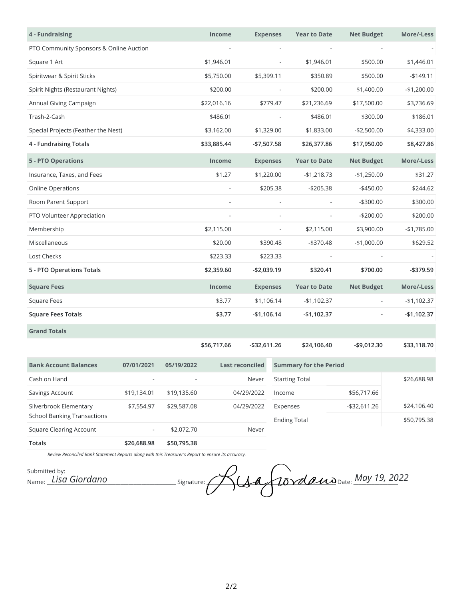| 4 - Fundraising                                              |             |             | Income          | <b>Expenses</b> |                               | <b>Year to Date</b>      | <b>Net Budget</b> | More/-Less   |
|--------------------------------------------------------------|-------------|-------------|-----------------|-----------------|-------------------------------|--------------------------|-------------------|--------------|
| PTO Community Sponsors & Online Auction                      |             |             |                 |                 | $\qquad \qquad \blacksquare$  |                          |                   |              |
| Square 1 Art                                                 |             |             | \$1,946.01      |                 |                               | \$1,946.01               | \$500.00          | \$1,446.01   |
| Spiritwear & Spirit Sticks                                   |             |             | \$5,750.00      | \$5,399.11      |                               | \$350.89                 | \$500.00          | $-$149.11$   |
| Spirit Nights (Restaurant Nights)                            |             |             | \$200.00        |                 |                               | \$200.00                 | \$1,400.00        | $-$1,200.00$ |
| Annual Giving Campaign                                       |             |             | \$22,016.16     |                 | \$779.47                      | \$21,236.69              | \$17,500.00       | \$3,736.69   |
| Trash-2-Cash                                                 |             |             | \$486.01        |                 |                               | \$486.01                 | \$300.00          | \$186.01     |
| Special Projects (Feather the Nest)                          |             |             | \$3,162.00      | \$1,329.00      |                               | \$1,833.00               | $-$2,500.00$      | \$4,333.00   |
| 4 - Fundraising Totals                                       |             |             | \$33,885.44     | -\$7,507.58     |                               | \$26,377.86              | \$17,950.00       | \$8,427.86   |
| <b>5 - PTO Operations</b>                                    |             |             | Income          | <b>Expenses</b> |                               | <b>Year to Date</b>      | <b>Net Budget</b> | More/-Less   |
| Insurance, Taxes, and Fees                                   |             |             | \$1.27          | \$1,220.00      |                               | $-$1,218.73$             | $-$1,250.00$      | \$31.27      |
| <b>Online Operations</b>                                     |             |             |                 |                 | \$205.38                      | $- $205.38$              | $-$450.00$        | \$244.62     |
| Room Parent Support                                          |             |             | $\frac{1}{2}$   |                 | $\overline{\phantom{a}}$      |                          | $-$300.00$        | \$300.00     |
| PTO Volunteer Appreciation                                   |             |             |                 |                 |                               |                          | $-$200.00$        | \$200.00     |
| Membership                                                   |             |             | \$2,115.00      |                 | $\overline{\phantom{a}}$      | \$2,115.00               | \$3,900.00        | $-$1,785.00$ |
| Miscellaneous                                                |             |             | \$20.00         |                 | \$390.48                      | $- $370.48$              | $-$1,000.00$      | \$629.52     |
| Lost Checks                                                  |             |             | \$223.33        |                 | \$223.33                      | $\overline{\phantom{a}}$ |                   |              |
| 5 - PTO Operations Totals                                    |             |             | \$2,359.60      | $-$2,039.19$    |                               | \$320.41                 | \$700.00          | -\$379.59    |
| <b>Square Fees</b>                                           |             |             | Income          | <b>Expenses</b> |                               | <b>Year to Date</b>      | <b>Net Budget</b> | More/-Less   |
| <b>Square Fees</b>                                           |             |             | \$3.77          | \$1,106.14      |                               | $-$1,102.37$             |                   | $-$1,102.37$ |
| <b>Square Fees Totals</b>                                    |             |             | \$3.77          | $-$1,106.14$    |                               | $-$1,102.37$             |                   | $-$1,102.37$ |
| <b>Grand Totals</b>                                          |             |             |                 |                 |                               |                          |                   |              |
|                                                              |             |             | \$56,717.66     | -\$32,611.26    |                               | \$24,106.40              | $-$9,012.30$      | \$33,118.70  |
| <b>Bank Account Balances</b>                                 | 07/01/2021  | 05/19/2022  | Last reconciled |                 | <b>Summary for the Period</b> |                          |                   |              |
| Cash on Hand                                                 |             |             | Never           |                 | <b>Starting Total</b>         |                          | \$26,688.98       |              |
| Savings Account                                              | \$19,134.01 | \$19,135.60 | 04/29/2022      |                 | Income                        |                          | \$56,717.66       |              |
| Silverbrook Elementary<br><b>School Banking Transactions</b> | \$7,554.97  | \$29,587.08 | 04/29/2022      |                 | Expenses                      |                          | $-$ \$32,611.26   | \$24,106.40  |
| <b>Square Clearing Account</b>                               |             | \$2,072.70  |                 | Never           |                               | <b>Ending Total</b>      |                   | \$50,795.38  |
| <b>Totals</b>                                                | \$26,688.98 | \$50,795.38 |                 |                 |                               |                          |                   |              |

*Review Reconciled Bank Statement Reports along with this Treasurer's Report to ensure its accuracy.*

Submitted by:<br>Name: *Lisa Giordano*  $S_{L}$ Signature:  $\mathcal{A}_{L}$   $\sigma$  $\sigma$  $\sigma$  $\sigma$  $\sigma$  $\sigma$  $\sigma$  $\sigma$  $\sigma$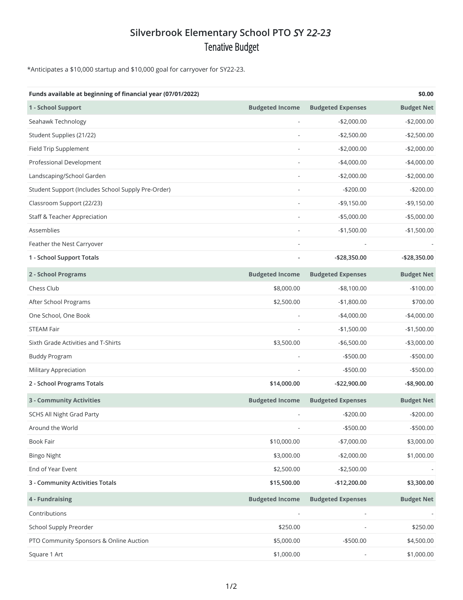# **Silverbrook Elementary School PTO** *S***Y 2***2-***2***3* Tenative Budget

\*Anticipates a \$10,000 startup and \$10,000 goal for carryover for SY22-23.

| Funds available at beginning of financial year (07/01/2022) |                        |                          | \$0.00            |
|-------------------------------------------------------------|------------------------|--------------------------|-------------------|
| 1 - School Support                                          | <b>Budgeted Income</b> | <b>Budgeted Expenses</b> | <b>Budget Net</b> |
| Seahawk Technology                                          |                        | $-$2,000.00$             | $-$2,000.00$      |
| Student Supplies (21/22)                                    |                        | $-$2,500.00$             | $-$2,500.00$      |
| Field Trip Supplement                                       |                        | $-$2,000.00$             | $-$2,000.00$      |
| Professional Development                                    |                        | $-$4,000.00$             | $-$4,000.00$      |
| Landscaping/School Garden                                   |                        | $-$2,000.00$             | $-$2,000.00$      |
| Student Support (Includes School Supply Pre-Order)          |                        | $-$200.00$               | $-$200.00$        |
| Classroom Support (22/23)                                   |                        | $-$9,150.00$             | $-$9,150.00$      |
| <b>Staff &amp; Teacher Appreciation</b>                     |                        | $-$5,000.00$             | $-$5,000.00$      |
| Assemblies                                                  |                        | $-$1,500.00$             | $-$1,500.00$      |
| Feather the Nest Carryover                                  |                        |                          |                   |
| 1 - School Support Totals                                   |                        | -\$28,350.00             | -\$28,350.00      |
| 2 - School Programs                                         | <b>Budgeted Income</b> | <b>Budgeted Expenses</b> | <b>Budget Net</b> |
| Chess Club                                                  | \$8,000.00             | $-$ \$8,100.00           | $-$100.00$        |
| After School Programs                                       | \$2,500.00             | $-$1,800.00$             | \$700.00          |
| One School, One Book                                        |                        | $-$4,000.00$             | $-$4,000.00$      |
| <b>STEAM Fair</b>                                           |                        | $-$1,500.00$             | $-$1,500.00$      |
| Sixth Grade Activities and T-Shirts                         | \$3,500.00             | $-$6,500.00$             | $-$3,000.00$      |
| <b>Buddy Program</b>                                        |                        | $-$ \$500.00             | $-$500.00$        |
| <b>Military Appreciation</b>                                |                        | $-$500.00$               | $-$500.00$        |
| 2 - School Programs Totals                                  | \$14,000.00            | -\$22,900.00             | $-$ \$8,900.00    |
| <b>3 - Community Activities</b>                             | <b>Budgeted Income</b> | <b>Budgeted Expenses</b> | <b>Budget Net</b> |
| <b>SCHS All Night Grad Party</b>                            |                        | $-$200.00$               | $-$200.00$        |
| Around the World                                            | L,                     | $- $500.00$              | $- $500.00$       |
| Book Fair                                                   | \$10,000.00            | $-$7,000.00$             | \$3,000.00        |
| <b>Bingo Night</b>                                          | \$3,000.00             | $-$2,000.00$             | \$1,000.00        |
| End of Year Event                                           | \$2,500.00             | $-$2,500.00$             |                   |
| 3 - Community Activities Totals                             | \$15,500.00            | -\$12,200.00             | \$3,300.00        |
| 4 - Fundraising                                             | <b>Budgeted Income</b> | <b>Budgeted Expenses</b> | <b>Budget Net</b> |
| Contributions                                               |                        |                          |                   |
| School Supply Preorder                                      | \$250.00               |                          | \$250.00          |
| PTO Community Sponsors & Online Auction                     | \$5,000.00             | $- $500.00$              | \$4,500.00        |
| Square 1 Art                                                | \$1,000.00             |                          | \$1,000.00        |
|                                                             |                        |                          |                   |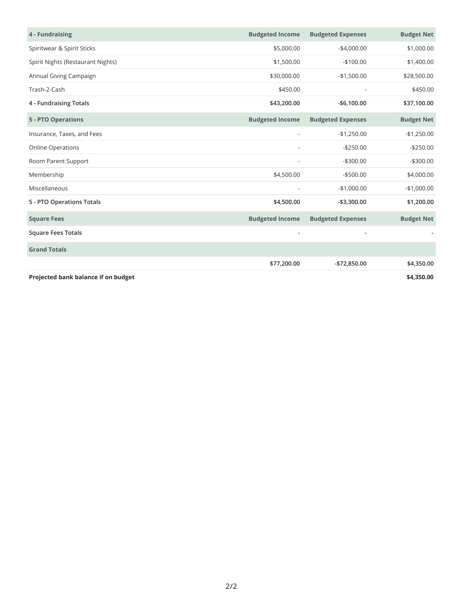| 4 - Fundraising                     | <b>Budgeted Income</b>   | <b>Budgeted Expenses</b> | <b>Budget Net</b> |
|-------------------------------------|--------------------------|--------------------------|-------------------|
| Spiritwear & Spirit Sticks          | \$5,000.00               | $-$4,000.00$             | \$1,000.00        |
| Spirit Nights (Restaurant Nights)   | \$1,500.00               | $-$100.00$               | \$1,400.00        |
| Annual Giving Campaign              | \$30,000.00              | $-$1,500.00$             | \$28,500.00       |
| Trash-2-Cash                        | \$450.00                 |                          | \$450.00          |
| 4 - Fundraising Totals              | \$43,200.00              | $-$6,100.00$             | \$37,100.00       |
| <b>5 - PTO Operations</b>           | <b>Budgeted Income</b>   | <b>Budgeted Expenses</b> | <b>Budget Net</b> |
| Insurance, Taxes, and Fees          |                          | $-$1,250.00$             | $-$1,250.00$      |
| <b>Online Operations</b>            |                          | $-$250.00$               | $-$250.00$        |
| Room Parent Support                 |                          | $-$300.00$               | $-$300.00$        |
| Membership                          | \$4,500.00               | $-$ \$500.00             | \$4,000.00        |
| Miscellaneous                       | $\overline{\phantom{a}}$ | $-$1,000.00$             | $-$1,000.00$      |
| 5 - PTO Operations Totals           | \$4,500.00               | $-$3,300.00$             | \$1,200.00        |
| <b>Square Fees</b>                  | <b>Budgeted Income</b>   | <b>Budgeted Expenses</b> | <b>Budget Net</b> |
| <b>Square Fees Totals</b>           | $\overline{\phantom{a}}$ | $\overline{\phantom{a}}$ |                   |
| <b>Grand Totals</b>                 |                          |                          |                   |
|                                     | \$77,200.00              | -\$72,850.00             | \$4,350.00        |
| Projected bank balance if on budget |                          |                          | \$4,350.00        |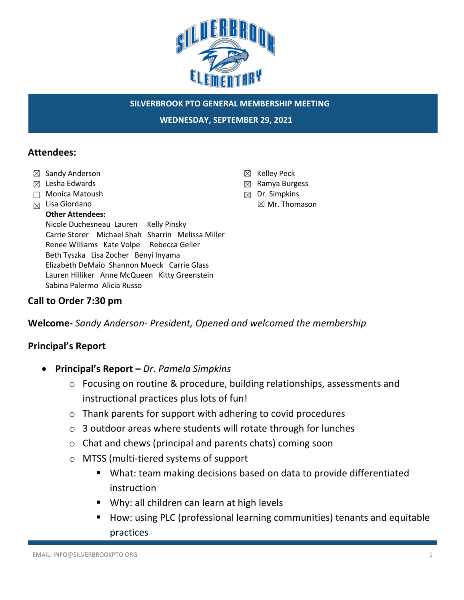

**WEDNESDAY, SEPTEMBER 29, 2021**

#### **Attendees:**

- ☒ Sandy Anderson
- ☒ Lesha Edwards
- ☐ Monica Matoush
- ☒ Lisa Giordano

#### **Other Attendees:**

Nicole Duchesneau Lauren Kelly Pinsky Carrie Storer Michael Shah Sharrin Melissa Miller Renee Williams Kate Volpe Rebecca Geller Beth Tyszka Lisa Zocher Benyi Inyama Elizabeth DeMaio Shannon Mueck Carrie Glass Lauren Hilliker Anne McQueen Kitty Greenstein Sabina Palermo Alicia Russo

#### **Call to Order 7:30 pm**

**Welcome-** *Sandy Anderson- President, Opened and welcomed the membership*

### **Principal's Report**

- **Principal's Report –** *Dr. Pamela Simpkins*
	- o Focusing on routine & procedure, building relationships, assessments and instructional practices plus lots of fun!
	- o Thank parents for support with adhering to covid procedures
	- o 3 outdoor areas where students will rotate through for lunches
	- o Chat and chews (principal and parents chats) coming soon
	- o MTSS (multi-tiered systems of support
		- What: team making decisions based on data to provide differentiated instruction
		- Why: all children can learn at high levels
		- How: using PLC (professional learning communities) tenants and equitable practices
- ☒ Kelley Peck
- ☒ Ramya Burgess
- ☒ Dr. Simpkins
	- ☒ Mr. Thomason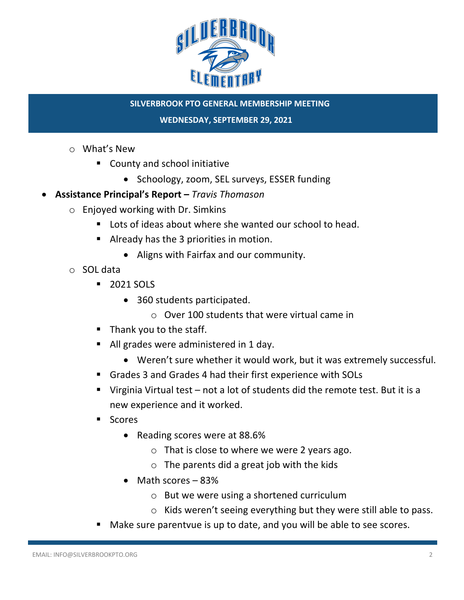

**WEDNESDAY, SEPTEMBER 29, 2021**

- o What's New
	- County and school initiative
		- Schoology, zoom, SEL surveys, ESSER funding
- **Assistance Principal's Report –** *Travis Thomason*
	- o Enjoyed working with Dr. Simkins
		- Lots of ideas about where she wanted our school to head.
		- Already has the 3 priorities in motion.
			- Aligns with Fairfax and our community.
	- o SOL data
		- 2021 SOLS
			- 360 students participated.
				- o Over 100 students that were virtual came in
		- Thank you to the staff.
		- All grades were administered in 1 day.
			- Weren't sure whether it would work, but it was extremely successful.
		- § Grades 3 and Grades 4 had their first experience with SOLs
		- **•** Virginia Virtual test  $-$  not a lot of students did the remote test. But it is a new experience and it worked.
		- Scores
			- Reading scores were at 88.6%
				- o That is close to where we were 2 years ago.
				- $\circ$  The parents did a great job with the kids
			- Math scores 83%
				- o But we were using a shortened curriculum
				- o Kids weren't seeing everything but they were still able to pass.
		- Make sure parentvue is up to date, and you will be able to see scores.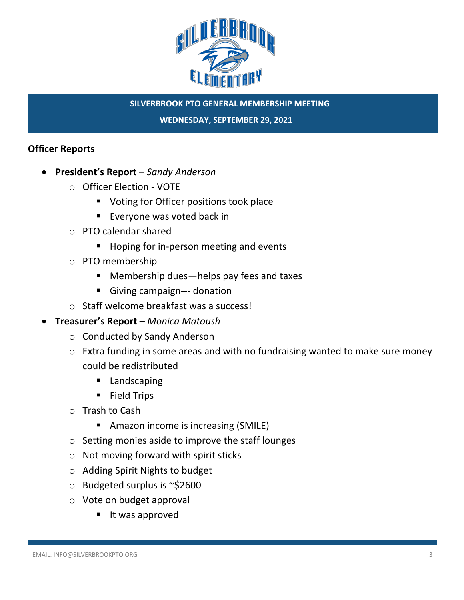

**WEDNESDAY, SEPTEMBER 29, 2021**

### **Officer Reports**

- **President's Report**  *Sandy Anderson*
	- o Officer Election VOTE
		- Voting for Officer positions took place
		- Everyone was voted back in
	- o PTO calendar shared
		- Hoping for in-person meeting and events
	- o PTO membership
		- Membership dues—helps pay fees and taxes
		- Giving campaign--- donation
	- o Staff welcome breakfast was a success!
- **Treasurer's Report** *Monica Matoush* 
	- o Conducted by Sandy Anderson
	- o Extra funding in some areas and with no fundraising wanted to make sure money could be redistributed
		- Landscaping
		- § Field Trips
	- o Trash to Cash
		- Amazon income is increasing (SMILE)
	- o Setting monies aside to improve the staff lounges
	- o Not moving forward with spirit sticks
	- o Adding Spirit Nights to budget
	- o Budgeted surplus is ~\$2600
	- o Vote on budget approval
		- It was approved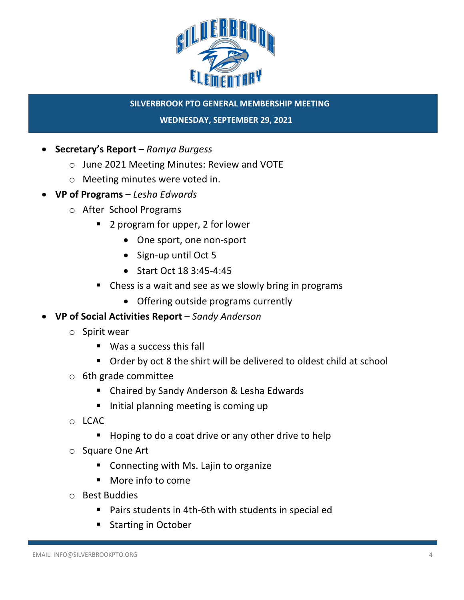

**WEDNESDAY, SEPTEMBER 29, 2021**

- **Secretary's Report**  *Ramya Burgess*
	- o June 2021 Meeting Minutes: Review and VOTE
	- o Meeting minutes were voted in.
- **VP of Programs –** *Lesha Edwards*
	- o After School Programs
		- 2 program for upper, 2 for lower
			- One sport, one non-sport
			- Sign-up until Oct 5
			- Start Oct 18 3:45-4:45
		- Chess is a wait and see as we slowly bring in programs
			- Offering outside programs currently
- **VP of Social Activities Report** *Sandy Anderson*
	- o Spirit wear
		- Was a success this fall
		- Order by oct 8 the shirt will be delivered to oldest child at school
	- o 6th grade committee
		- Chaired by Sandy Anderson & Lesha Edwards
		- Initial planning meeting is coming up
	- o LCAC
		- § Hoping to do a coat drive or any other drive to help
	- o Square One Art
		- Connecting with Ms. Lajin to organize
		- More info to come
	- o Best Buddies
		- Pairs students in 4th-6th with students in special ed
		- § Starting in October